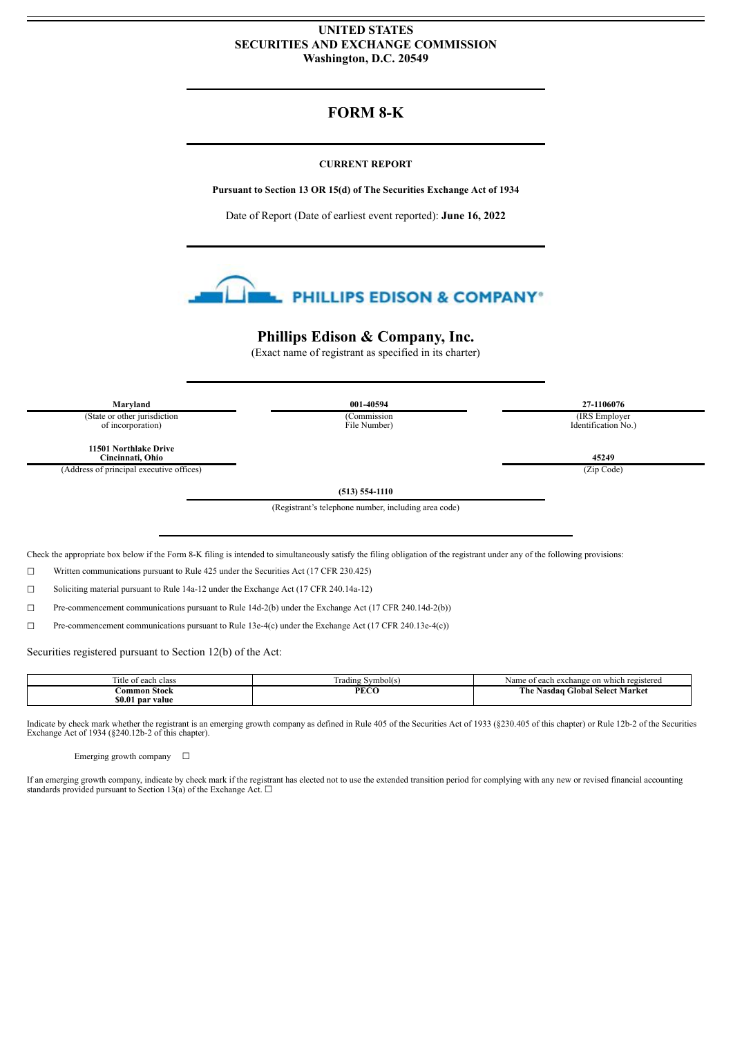### **UNITED STATES SECURITIES AND EXCHANGE COMMISSION Washington, D.C. 20549**

# **FORM 8-K**

### **CURRENT REPORT**

**Pursuant to Section 13 OR 15(d) of The Securities Exchange Act of 1934**

Date of Report (Date of earliest event reported): **June 16, 2022**



# **Phillips Edison & Company, Inc.**

(Exact name of registrant as specified in its charter)

(State or other jurisdiction of incorporation)

**Maryland 001-40594 27-1106076** (Commission File Number)

**11501 Northlake Drive Cincinnati, Ohio 45249**

(Address of principal executive offices) (Zip Code)

**(513) 554-1110**

(Registrant's telephone number, including area code)

Check the appropriate box below if the Form 8-K filing is intended to simultaneously satisfy the filing obligation of the registrant under any of the following provisions:

☐ Written communications pursuant to Rule 425 under the Securities Act (17 CFR 230.425)

☐ Soliciting material pursuant to Rule 14a-12 under the Exchange Act (17 CFR 240.14a-12)

☐ Pre-commencement communications pursuant to Rule 14d-2(b) under the Exchange Act (17 CFR 240.14d-2(b))

 $\Box$  Pre-commencement communications pursuant to Rule 13e-4(c) under the Exchange Act (17 CFR 240.13e-4(c))

Securities registered pursuant to Section 12(b) of the Act:

| ritle<br>t each class | Symbol(s)<br>. radın | Name of each exchange on which registered                 |
|-----------------------|----------------------|-----------------------------------------------------------|
| .'ommon Stock         | PECO                 | $-1$<br>--<br>⊦Global Select Market<br>The<br>∴Nasdaq ( ˈ |
| \$0.01 par value      |                      |                                                           |

Indicate by check mark whether the registrant is an emerging growth company as defined in Rule 405 of the Securities Act of 1933 (§230.405 of this chapter) or Rule 12b-2 of the Securities Exchange Act of 1934 (§240.12b-2 of this chapter).

Emerging growth company  $\Box$ 

If an emerging growth company, indicate by check mark if the registrant has elected not to use the extended transition period for complying with any new or revised financial accounting standards provided pursuant to Section 13(a) of the Exchange Act.  $\square$ 

(IRS Employer Identification No.)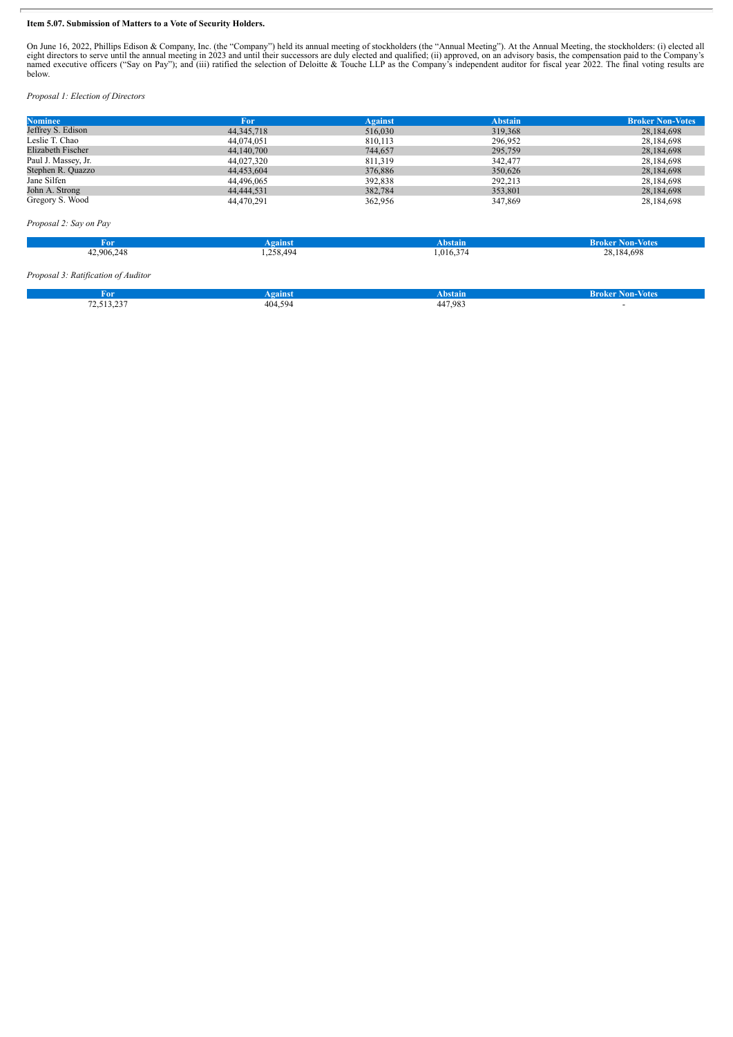#### **Item 5.07. Submission of Matters to a Vote of Security Holders.**

On June 16, 2022, Phillips Edison & Company, Inc. (the "Company") held its annual meeting of stockholders (the "Annual Meeting"). At the Annual Meeting, the stockholders: (i) elected all eight directors to serve until the

*Proposal 1: Election of Directors*

| <b>Nominee</b>      | For          | <b>Against</b> | <b>Abstain</b> | <b>Broker Non-Votes</b> |
|---------------------|--------------|----------------|----------------|-------------------------|
| Jeffrey S. Edison   | 44, 345, 718 | 516,030        | 319,368        | 28,184,698              |
| Leslie T. Chao      | 44,074,051   | 810,113        | 296,952        | 28,184,698              |
| Elizabeth Fischer   | 44,140,700   | 744,657        | 295,759        | 28.184.698              |
| Paul J. Massey, Jr. | 44,027,320   | 811,319        | 342,477        | 28,184,698              |
| Stephen R. Quazzo   | 44,453,604   | 376,886        | 350,626        | 28,184,698              |
| Jane Silfen         | 44,496,065   | 392,838        | 292.213        | 28,184,698              |
| John A. Strong      | 44,444,531   | 382,784        | 353,801        | 28,184,698              |
| Gregory S. Wood     | 44,470,291   | 362,956        | 347,869        | 28,184,698              |

*Proposal 2: Say on Pay*

F

| For                                                  | <b><i><u>vainst</u></i></b> | <b>Abstain</b> | <b>Broker Non-Votes</b> |
|------------------------------------------------------|-----------------------------|----------------|-------------------------|
| 42,906,248                                           | . 258,494                   | 1,016,374      | 28,184,698              |
|                                                      |                             |                |                         |
| $D_{\text{total}} = 1.2$ , $D_{\text{total}} = 0.12$ |                             |                |                         |

### *Proposal 3: Ratification of Auditor*

| For,                           | Against | Abstain | ⊀rol<br>votes. |
|--------------------------------|---------|---------|----------------|
| 72.512.22<br>21.5<br>,,,,,,,,, | 404,594 | 447,983 |                |
|                                |         |         |                |